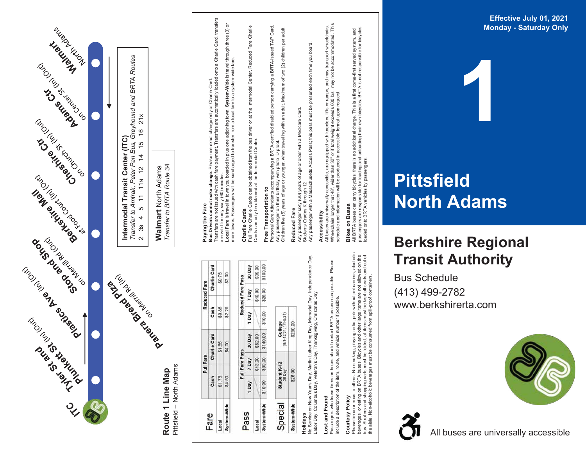

Labor Day, Columbus Day, Veteran's Day, Thanksgiving, Christmas Day. Lost and Found **Lost and Found**

All buses are universally accessible, are equipped with kneelers, lifts or ramps, and may transport wheelchairs. Wheelchairs longer that 48", wider than 32" or if total weight exceeds 600 lbs., may not be accommodated. This

and may transport wheelchairs.<br>may not be accommodated. This

may not

schedule and information will be produced in accessible format upon request.

All buses are universally accessible, are equipped with kneelers, lifts or ramps,<br>Wheelchairs longer that 48', wider than 32" or if total weight exceeds 600 lbs.,<br>schedule and information will be produced in accessible for

99

All BRTA buses can carry bicycles; there is no additional charge. This is a first come-first served system, and passengers are responsible for loading and unloading their own bicycles. BRTA is not responsible for bicycles

**Bikes on Buses**<br>All BRTA buses can carry bicycles; there is no additional charge. This is a first come-first served system, and<br>passengers are responsible for loading and unloading their own bicycles. BRTA is not responsi

**Bikes on Buses**

loaded onto BRTA vehicles by passengers.

Passengers who leave items on buses should contact BRTA as soon as possible. Please Pleas buses should contact BRTA as soon as possible.<br>route, and vehicle number if possible. include a description of the item, route, and vehicle number if possible. Passengers who leave items on buses<br>include a description of the item, route,

## Courtesy Policy **Courtesy Policy**

Please be courteous to others. No smoking, playing radio, pets without pet carriers, alcoholic<br>beverages, or eating on BRTA buses. Bicycles and other large items are not allowed on the<br>bus. Strollers and shopping carts mus Please be courteous to others. No smoking, playing radio, pets without pet carriers, alcoholic bus. Strollers and shopping carts must be folded, all items must be kept off seats and out of beverages, or eating on BRTA buses. Bicycles and other large items are not allowed on the the aisle. Non-alcoholic beverages must be consumed from spill-proof containers.

## **Eff e c tiv e July 01 , 2 0 2 1 Monday - Saturday Only**

## **Pittsfield North Ad ams**

## **Berkshire Regional**

**1**

(413) 4 9 9 -2782 www.berkshirerta.com

Bu s S c hedule

# **T ransit Au t hority**